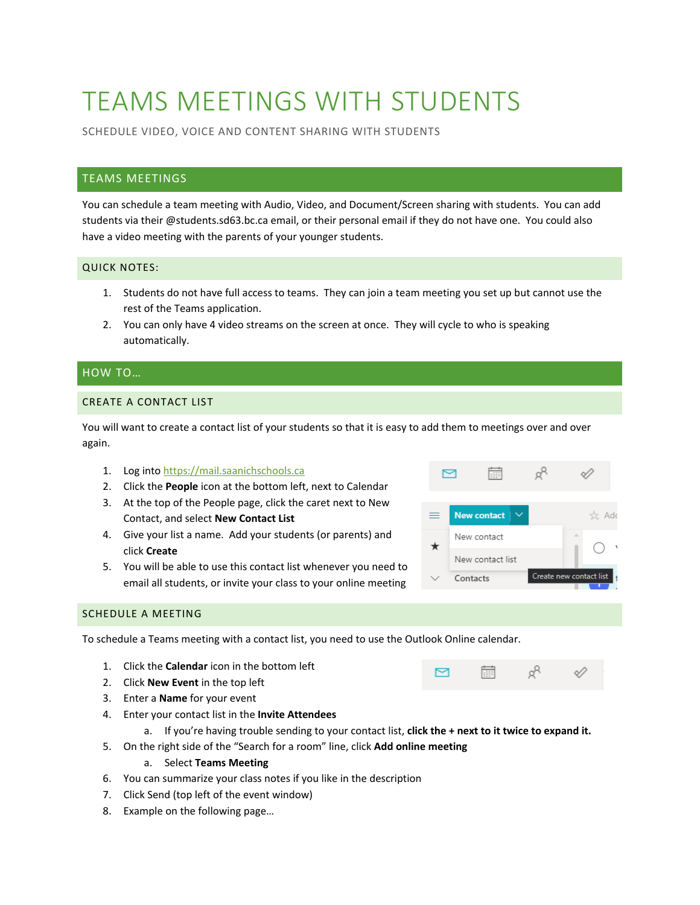# TEAMS MEETINGS WITH STUDENTS

SCHEDULE VIDEO, VOICE AND CONTENT SHARING WITH STUDENTS

## TEAMS MEETINGS

You can schedule a team meeting with Audio, Video, and Document/Screen sharing with students. You can add students via their @students.sd63.bc.ca email, or their personal email if they do not have one. You could also have a video meeting with the parents of your younger students.

#### QUICK NOTES:

- 1. Students do not have full access to teams. They can join a team meeting you set up but cannot use the rest of the Teams application.
- 2. You can only have 4 video streams on the screen at once. They will cycle to who is speaking automatically.

#### HOW TO…

#### CREATE A CONTACT LIST

You will want to create a contact list of your students so that it is easy to add them to meetings over and over again.

- 1. Log into [https://mail.saanichschools.ca](https://mail.saanichschools.ca/)
- 2. Click the **People** icon at the bottom left, next to Calendar
- 3. At the top of the People page, click the caret next to New Contact, and select **New Contact List**
- 4. Give your list a name. Add your students (or parents) and click **Create**
- 5. You will be able to use this contact list whenever you need to email all students, or invite your class to your online meeting



 $\beta^{\text{R}}$ 

匾

罓

### SCHEDULE A MEETING

To schedule a Teams meeting with a contact list, you need to use the Outlook Online calendar.

- 1. Click the **Calendar** icon in the bottom left
- 2. Click **New Event** in the top left
- 3. Enter a **Name** for your event
- 4. Enter your contact list in the **Invite Attendees**
	- a. If you're having trouble sending to your contact list, **click the + next to it twice to expand it.**
- 5. On the right side of the "Search for a room" line, click **Add online meeting**

#### a. Select **Teams Meeting**

- 6. You can summarize your class notes if you like in the description
- 7. Click Send (top left of the event window)
- 8. Example on the following page…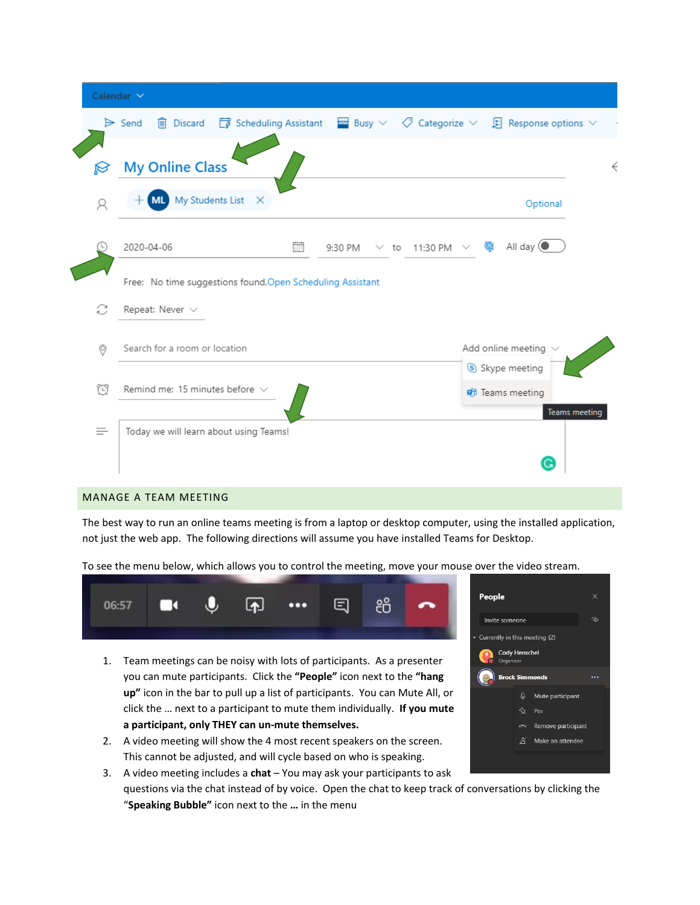|                | Calendar $\sim$                                                                                                                                        |                      |
|----------------|--------------------------------------------------------------------------------------------------------------------------------------------------------|----------------------|
|                | <b>iii</b> Discard $\Box$ Scheduling Assistant $\Box$ Busy $\lor$ $\Diamond$ Categorize $\lor$ $\Box$ Response options $\lor$<br>$\triangleright$ Send |                      |
| M              | <b>My Online Class</b>                                                                                                                                 |                      |
| Ά              | ML My Students List X<br>Optional                                                                                                                      |                      |
|                | <b>Q</b> All day $\left($<br>2020-04-06<br>酾<br>$\vee$ to 11:30 PM $\vee$<br>9:30 PM                                                                   |                      |
|                | Free: No time suggestions found.Open Scheduling Assistant                                                                                              |                      |
| C              | Repeat: Never $\vee$                                                                                                                                   |                      |
| $\circledcirc$ | Add online meeting $\,\vee\,$<br>Search for a room or location                                                                                         |                      |
| ₩              | Skype meeting<br>Remind me: 15 minutes before $\vee$<br><b><i>i</i></b> Teams meeting                                                                  | <b>Teams meeting</b> |
| ≡              | Today we will learn about using Teams!                                                                                                                 |                      |
|                | G                                                                                                                                                      |                      |

#### MANAGE A TEAM MEETING

The best way to run an online teams meeting is from a laptop or desktop computer, using the installed application, not just the web app. The following directions will assume you have installed Teams for Desktop.

| TO SEE the menu below, which allows you to control the meeting, move your mouse over the vid |    |             |                           |    |  |        |
|----------------------------------------------------------------------------------------------|----|-------------|---------------------------|----|--|--------|
|                                                                                              | га | $\boxed{1}$ | $\bullet \bullet \bullet$ | E. |  | People |

- Anti below, which allows you to control the meeting, move your mouse over the video stream.
	- 1. Team meetings can be noisy with lots of participants. As a presenter you can mute participants. Click the **"People"** icon next to the **"hang up"** icon in the bar to pull up a list of participants. You can Mute All, or click the … next to a participant to mute them individually. **If you mute a participant, only THEY can un-mute themselves.**
	- 2. A video meeting will show the 4 most recent speakers on the screen. This cannot be adjusted, and will cycle based on who is speaking.
	- 3. A video meeting includes a **chat** You may ask your participants to ask questions via the chat instead of by voice. Open the chat to keep track of conversations by clicking the "**Speaking Bubble"** icon next to the **…** in the menu